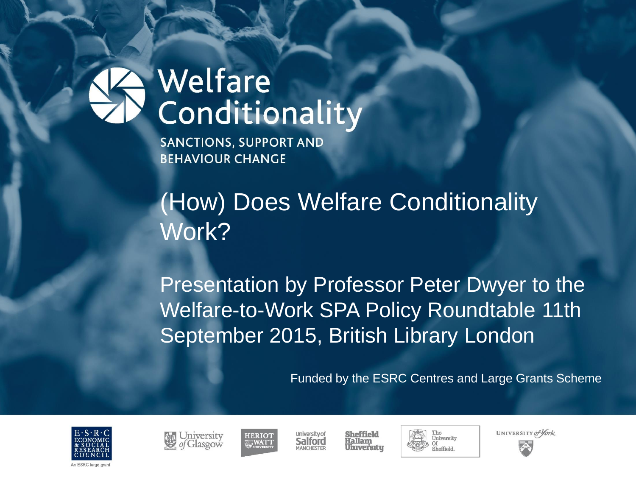# Welfare Conditionality

**SANCTIONS, SUPPORT AND BEHAVIOUR CHANGE** 

(How) Does Welfare Conditionality Work?

Presentation by Professor Peter Dwyer to the Welfare-to-Work SPA Policy Roundtable 11th September 2015, British Library London

Funded by the ESRC Centres and Large Grants Scheme







University of Salford







UNIVERSITY of York

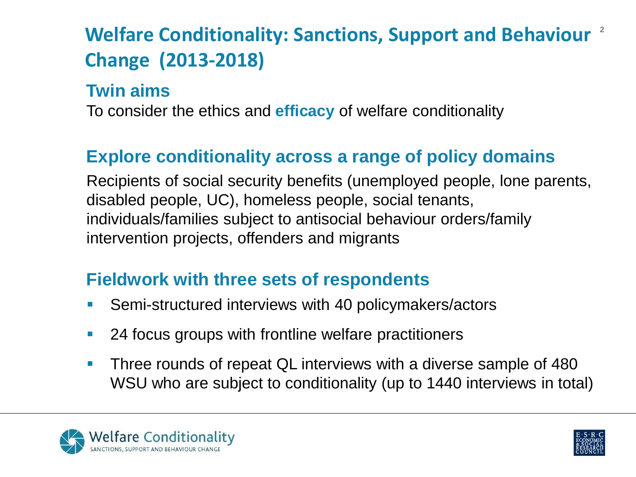# **Welfare Conditionality: Sanctions, Support and Behaviour 2Change (2013-2018)**

#### **Twin aims**

To consider the ethics and **efficacy** of welfare conditionality

### **Explore conditionality across a range of policy domains**

Recipients of social security benefits (unemployed people, lone parents, disabled people, UC), homeless people, social tenants, individuals/families subject to antisocial behaviour orders/family intervention projects, offenders and migrants

#### **Fieldwork with three sets of respondents**

- **Semi-structured interviews with 40 policymakers/actors**
- **24 focus groups with frontline welfare practitioners**
- **Three rounds of repeat QL interviews with a diverse sample of 480** WSU who are subject to conditionality (up to 1440 interviews in total)



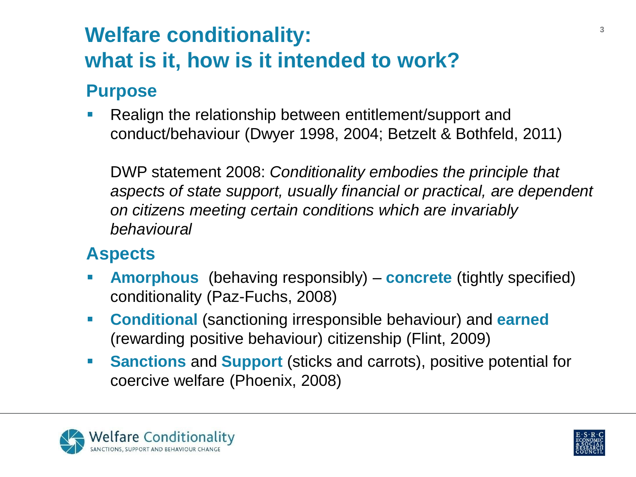# **Welfare conditionality: what is it, how is it intended to work?**

#### **Purpose**

**Realign the relationship between entitlement/support and** conduct/behaviour (Dwyer 1998, 2004; Betzelt & Bothfeld, 2011)

DWP statement 2008: *Conditionality embodies the principle that aspects of state support, usually financial or practical, are dependent on citizens meeting certain conditions which are invariably behavioural*

#### **Aspects**

- **Amorphous** (behaving responsibly) **concrete** (tightly specified) conditionality (Paz-Fuchs, 2008)
- **Conditional** (sanctioning irresponsible behaviour) and **earned**  (rewarding positive behaviour) citizenship (Flint, 2009)
- **Sanctions** and **Support** (sticks and carrots), positive potential for coercive welfare (Phoenix, 2008)



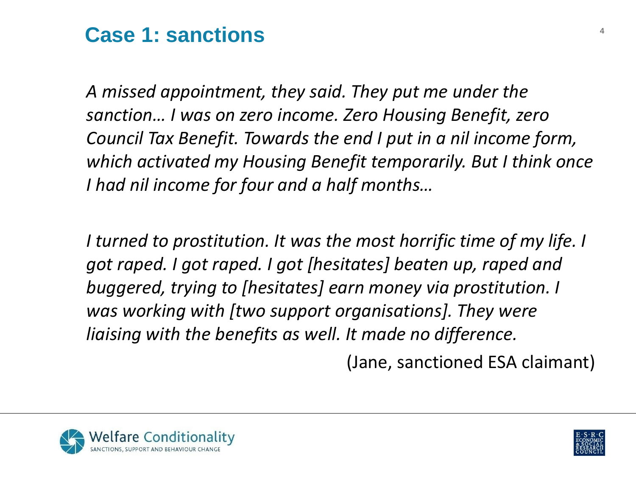## **Case 1: sanctions <sup>4</sup>**

*A missed appointment, they said. They put me under the sanction… I was on zero income. Zero Housing Benefit, zero Council Tax Benefit. Towards the end I put in a nil income form, which activated my Housing Benefit temporarily. But I think once I had nil income for four and a half months…*

*I turned to prostitution. It was the most horrific time of my life. I got raped. I got raped. I got [hesitates] beaten up, raped and buggered, trying to [hesitates] earn money via prostitution. I was working with [two support organisations]. They were liaising with the benefits as well. It made no difference.*

(Jane, sanctioned ESA claimant)



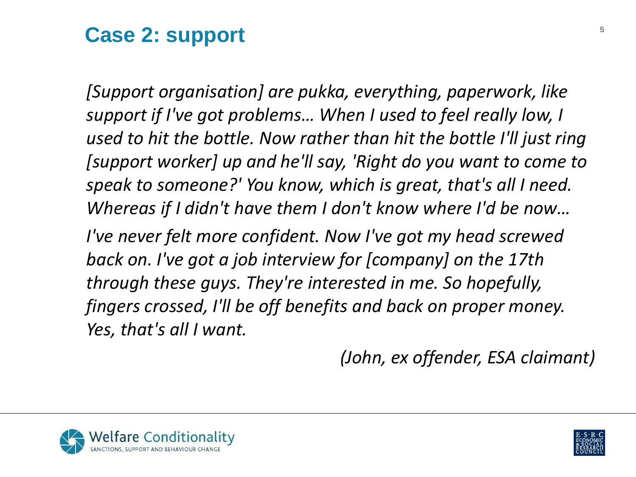## Case 2: support

*[Support organisation] are pukka, everything, paperwork, like support if I've got problems… When I used to feel really low, I used to hit the bottle. Now rather than hit the bottle I'll just ring [support worker] up and he'll say, 'Right do you want to come to speak to someone?' You know, which is great, that's all I need. Whereas if I didn't have them I don't know where I'd be now…* 

*I've never felt more confident. Now I've got my head screwed back on. I've got a job interview for [company] on the 17th through these guys. They're interested in me. So hopefully, fingers crossed, I'll be off benefits and back on proper money. Yes, that's all I want.* 

*(John, ex offender, ESA claimant)* 



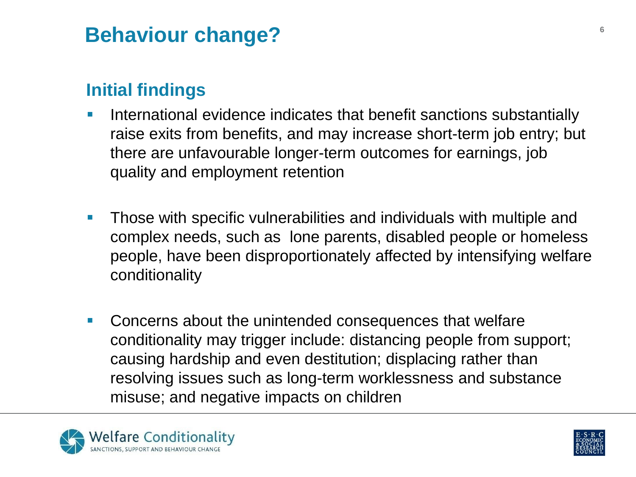## **Behaviour change? <sup>6</sup>**

### **Initial findings**

- **I.** International evidence indicates that benefit sanctions substantially raise exits from benefits, and may increase short-term job entry; but there are unfavourable longer-term outcomes for earnings, job quality and employment retention
- **Those with specific vulnerabilities and individuals with multiple and** complex needs, such as lone parents, disabled people or homeless people, have been disproportionately affected by intensifying welfare conditionality
- **Concerns about the unintended consequences that welfare** conditionality may trigger include: distancing people from support; causing hardship and even destitution; displacing rather than resolving issues such as long-term worklessness and substance misuse; and negative impacts on children



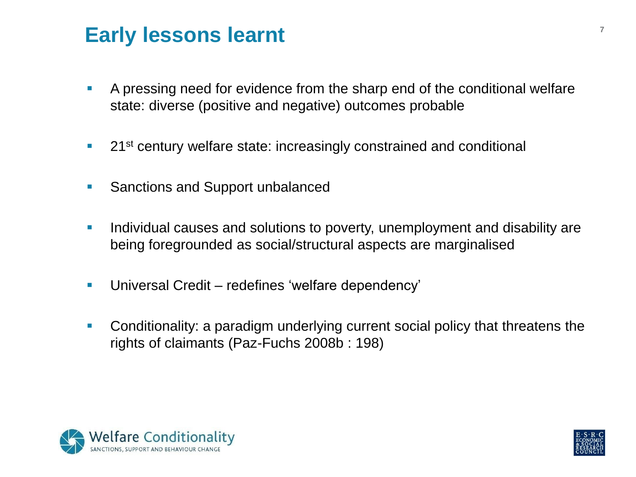## **Early lessons learnt**

- A pressing need for evidence from the sharp end of the conditional welfare state: diverse (positive and negative) outcomes probable
- <sup>21st</sup> century welfare state: increasingly constrained and conditional
- **Sanctions and Support unbalanced**
- **Individual causes and solutions to poverty, unemployment and disability are** being foregrounded as social/structural aspects are marginalised
- **Universal Credit redefines 'welfare dependency'**
- Conditionality: a paradigm underlying current social policy that threatens the rights of claimants (Paz-Fuchs 2008b : 198)